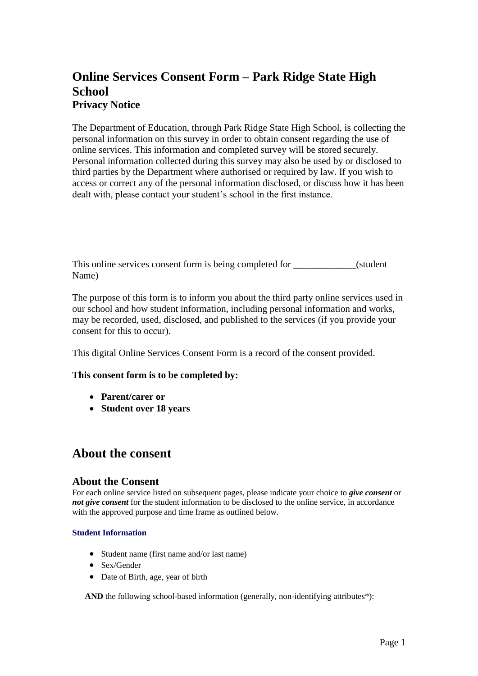# **Online Services Consent Form – Park Ridge State High School Privacy Notice**

The Department of Education, through Park Ridge State High School, is collecting the personal information on this survey in order to obtain consent regarding the use of online services. This information and completed survey will be stored securely. Personal information collected during this survey may also be used by or disclosed to third parties by the Department where authorised or required by law. If you wish to access or correct any of the personal information disclosed, or discuss how it has been dealt with, please contact your student's school in the first instance.

This online services consent form is being completed for \_\_\_\_\_\_\_\_\_\_\_\_(student Name)

The purpose of this form is to inform you about the third party online services used in our school and how student information, including personal information and works, may be recorded, used, disclosed, and published to the services (if you provide your consent for this to occur).

This digital Online Services Consent Form is a record of the consent provided.

### **This consent form is to be completed by:**

- **Parent/carer or**
- **Student over 18 years**

# **About the consent**

#### **About the Consent**

For each online service listed on subsequent pages, please indicate your choice to *give consent* or *not give consent* for the student information to be disclosed to the online service, in accordance with the approved purpose and time frame as outlined below.

#### **Student Information**

- Student name (first name and/or last name)
- Sex/Gender
- Date of Birth, age, year of birth

AND the following school-based information (generally, non-identifying attributes\*):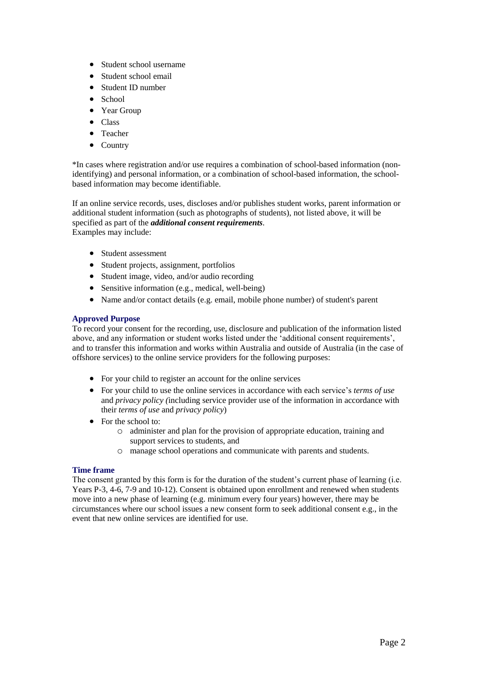- Student school username
- Student school email
- Student ID number
- School
- Year Group
- Class
- Teacher
- Country

\*In cases where registration and/or use requires a combination of school-based information (nonidentifying) and personal information, or a combination of school-based information, the schoolbased information may become identifiable.

If an online service records, uses, discloses and/or publishes student works, parent information or additional student information (such as photographs of students), not listed above, it will be specified as part of the *additional consent requirements*. Examples may include:

- Student assessment
- Student projects, assignment, portfolios
- Student image, video, and/or audio recording
- Sensitive information (e.g., medical, well-being)
- Name and/or contact details (e.g. email, mobile phone number) of student's parent

#### **Approved Purpose**

To record your consent for the recording, use, disclosure and publication of the information listed above, and any information or student works listed under the 'additional consent requirements', and to transfer this information and works within Australia and outside of Australia (in the case of offshore services) to the online service providers for the following purposes:

- For your child to register an account for the online services
- For your child to use the online services in accordance with each service's *terms of use*  and *privacy policy (*including service provider use of the information in accordance with their *terms of use* and *privacy policy*)
- For the school to:
	- o administer and plan for the provision of appropriate education, training and support services to students, and
	- o manage school operations and communicate with parents and students.

#### **Time frame**

The consent granted by this form is for the duration of the student's current phase of learning (i.e. Years P-3, 4-6, 7-9 and 10-12). Consent is obtained upon enrollment and renewed when students move into a new phase of learning (e.g. minimum every four years) however, there may be circumstances where our school issues a new consent form to seek additional consent e.g., in the event that new online services are identified for use.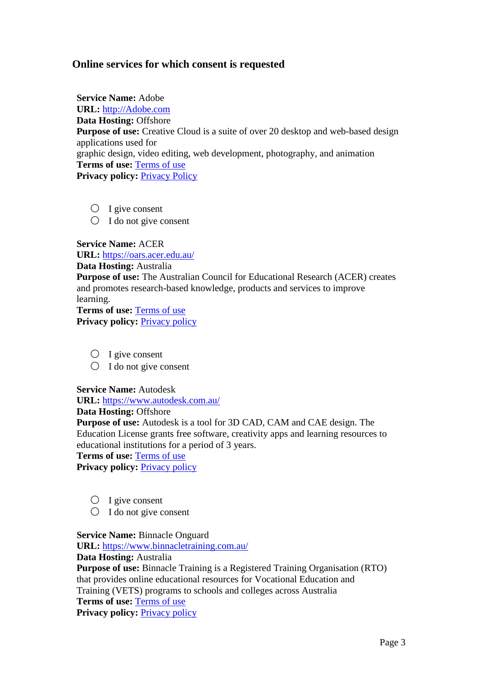# **Online services for which consent is requested**

**Service Name:** Adobe **URL:** [http://Adobe.com](http://adobe.com/) **Data Hosting:** Offshore **Purpose of use:** Creative Cloud is a suite of over 20 desktop and web-based design applications used for graphic design, video editing, web development, photography, and animation **Terms of use:** [Terms of use](https://www.adobe.com/au/legal/terms.html) **Privacy policy:** [Privacy Policy](https://www.adobe.com/au/privacy/policy.html)

- $\bigcirc$  I give consent
- $\bigcirc$  I do not give consent

**Service Name:** ACER

**URL:** <https://oars.acer.edu.au/>

### **Data Hosting:** Australia

**Purpose of use:** The Australian Council for Educational Research (ACER) creates and promotes research-based knowledge, products and services to improve learning.

**Terms of use:** [Terms of use](https://www.acer.org/online-terms-of-use) **[Privacy policy](https://www.acer.org/gb/privacy-policy): Privacy policy** 

- $\bigcirc$  I give consent
- $\bigcirc$  I do not give consent

### **Service Name:** Autodesk

**URL:** <https://www.autodesk.com.au/>

### **Data Hosting:** Offshore

**Purpose of use:** Autodesk is a tool for 3D CAD, CAM and CAE design. The Education License grants free software, creativity apps and learning resources to educational institutions for a period of 3 years.

**Terms of use:** [Terms of use](https://www.autodesk.com/company/terms-of-use/en/general-terms/educational-licensees-additional-terms)

**[Privacy policy](https://www.autodesk.com/company/legal-notices-trademarks/privacy-statement): Privacy policy** 

- $\bigcirc$  I give consent
- $\bigcirc$  I do not give consent

**Service Name:** Binnacle Onguard

**URL:** <https://www.binnacletraining.com.au/>

**Data Hosting:** Australia

**Purpose of use:** Binnacle Training is a Registered Training Organisation (RTO) that provides online educational resources for Vocational Education and Training (VETS) programs to schools and colleges across Australia **Terms of use:** [Terms of use](https://www.binnacletraining.com.au/rto.php#binnacle-rto-files)

[Privacy policy](https://www.binnacletraining.com.au/page/148): **Privacy policy**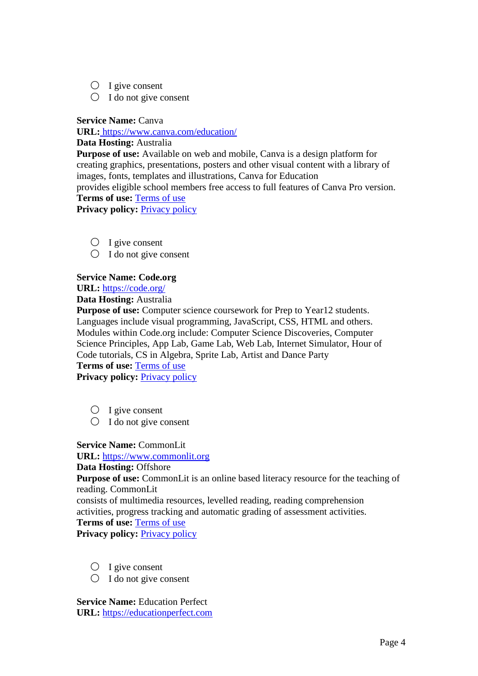- $\bigcirc$  I give consent
- $\bigcirc$  I do not give consent

**Service Name:** Canva

**URL:** <https://www.canva.com/education/>

## **Data Hosting:** Australia

**Purpose of use:** Available on web and mobile, Canva is a design platform for creating graphics, presentations, posters and other visual content with a library of images, fonts, templates and illustrations, Canva for Education provides eligible school members free access to full features of Canva Pro version. **Terms of use:** [Terms of use](https://about.canva.com/terms-of-use/)

**[Privacy policy](https://about.canva.com/privacy-policy/): Privacy policy** 

- $O$  I give consent
- $\bigcirc$  I do not give consent

# **Service Name: Code.org**

**URL:** <https://code.org/>

**Data Hosting:** Australia

**Purpose of use:** Computer science coursework for Prep to Year12 students. Languages include visual programming, JavaScript, CSS, HTML and others. Modules within Code.org include: Computer Science Discoveries, Computer Science Principles, App Lab, Game Lab, Web Lab, Internet Simulator, Hour of Code tutorials, CS in Algebra, Sprite Lab, Artist and Dance Party **Terms of use:** [Terms of use](https://www.binnacletraining.com.au/rto.php#binnacle-rto-files)

[Privacy policy](https://www.binnacletraining.com.au/page/148): **Privacy policy** 

- $\bigcirc$  I give consent
- $\bigcirc$  I do not give consent

# **Service Name:** CommonLit

**URL:** [https://www.commonlit.org](https://www.commonlit.org/)

### **Data Hosting:** Offshore

**Purpose of use:** CommonLit is an online based literacy resource for the teaching of reading. CommonLit

consists of multimedia resources, levelled reading, reading comprehension activities, progress tracking and automatic grading of assessment activities. **Terms of use:** [Terms of use](https://www.commonlit.org/en/terms.html)

**[Privacy policy](https://www.commonlit.org/en/privacy.html): Privacy policy** 

- $\bigcirc$  I give consent
- $\bigcirc$  I do not give consent

**Service Name:** Education Perfect **URL:** [https://educationperfect.com](https://educationperfect.com/)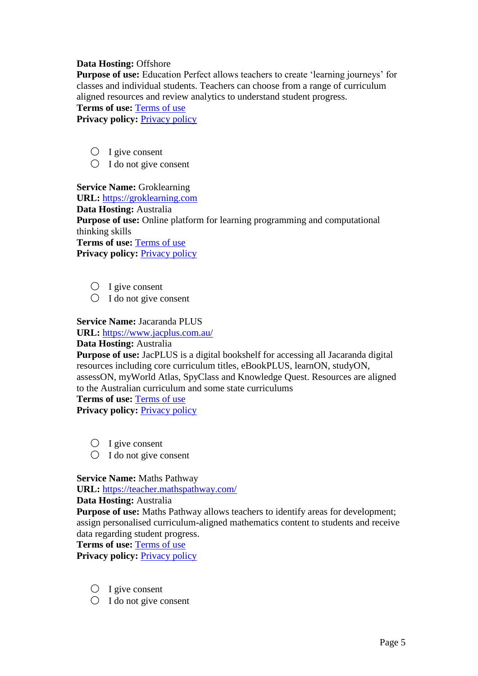## **Data Hosting:** Offshore

**Purpose of use:** Education Perfect allows teachers to create 'learning journeys' for classes and individual students. Teachers can choose from a range of curriculum aligned resources and review analytics to understand student progress.

#### **Terms of use:** [Terms of use](http://www.educationperfect.com/wp-content/uploads/2019/01/education_perfect_-_standard_terms_and_conditions_2018-07-26.pdf)

**[Privacy policy](https://www.educationperfect.com/legal/): Privacy policy** 

- $O$  I give consent
- $\bigcirc$  I do not give consent

**Service Name:** Groklearning

**URL:** [https://groklearning.com](https://groklearning.com/)

**Data Hosting:** Australia

**Purpose of use:** Online platform for learning programming and computational thinking skills

**Terms of use:** [Terms of use](https://groklearning.com/policies/terms/) **[Privacy policy](https://groklearning.com/policies/privacy/): Privacy policy** 

- $O$  I give consent
- $\bigcirc$  I do not give consent

## **Service Name:** Jacaranda PLUS

**URL:** <https://www.jacplus.com.au/>

### **Data Hosting:** Australia

**Purpose of use:** JacPLUS is a digital bookshelf for accessing all Jacaranda digital resources including core curriculum titles, eBookPLUS, learnON, studyON, assessON, myWorld Atlas, SpyClass and Knowledge Quest. Resources are aligned to the Australian curriculum and some state curriculums

**Terms of use:** [Terms of use](https://www.jacplus.com.au/jsp/general-nav/terms/terms.jsp) **[Privacy policy](https://www.jacplus.com.au/jsp/general-nav/copyright/privacy_policy.jsp): Privacy policy** 

- $O$  I give consent
- $\bigcirc$  I do not give consent

# **Service Name:** Maths Pathway

**URL:** <https://teacher.mathspathway.com/>

**Data Hosting:** Australia

**Purpose of use:** Maths Pathway allows teachers to identify areas for development; assign personalised curriculum-aligned mathematics content to students and receive data regarding student progress.

**Terms of use:** [Terms of use](https://help.mathspathway.com/hc/en-us/articles/217301807-Privacy-Security-Terms-and-Conditions)

**[Privacy policy](https://mathspathway.com/privacy-policy/): Privacy policy** 

- $\bigcirc$  I give consent
- $\bigcirc$  I do not give consent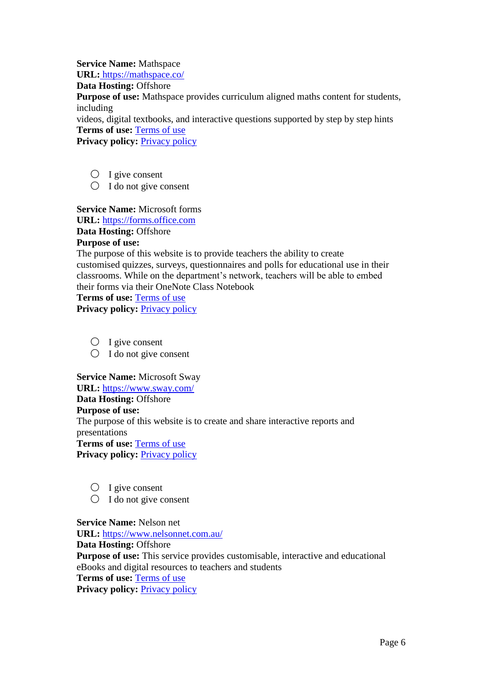**Service Name:** Mathspace

**URL[:](https://mathspace.co/)** <https://mathspace.co/>

**Data Hosting:** Offshore

**Purpose of use:** Mathspace provides curriculum aligned maths content for students, including

videos, digital textbooks, and interactive questions supported by step by step hints **Terms of use:** [Terms of use](https://mathspace.co/terms-of-use)

**[Privacy policy](https://mathspace.co/au/privacy-policy): Privacy policy** 

 $O$  I give consent

 $\bigcirc$  I do not give consent

**Service Name:** Microsoft forms

**URL:** [https://forms.office.com](https://forms.office.com/)

**Data Hosting:** Offshore **Purpose of use:**

The purpose of this website is to provide teachers the ability to create customised quizzes, surveys, questionnaires and polls for educational use in their classrooms. While on the department's network, teachers will be able to embed their forms via their OneNote Class Notebook

**Terms of use:** [Terms of use](https://www.microsoft.com/en-us/legal/intellectualproperty/copyright/default.aspx)

[Privacy policy](https://privacy.microsoft.com/en-gb/privacystatement): **Privacy policy** 

 $\bigcirc$  I give consent

 $\bigcirc$  I do not give consent

**Service Name:** Microsoft Sway

**URL:** <https://www.sway.com/>

**Data Hosting:** Offshore

**Purpose of use:**

The purpose of this website is to create and share interactive reports and presentations

**Terms of use:** [Terms of use](https://www.microsoft.com/en-au/servicesagreement)

**[Privacy policy](https://www.microsoft.com/en-au/privacystatement/default.aspx): Privacy policy** 

- $\bigcirc$  I give consent
- $\bigcirc$  I do not give consent

**Service Name:** Nelson net **URL:** <https://www.nelsonnet.com.au/> **Data Hosting:** Offshore **Purpose of use:** This service provides customisable, interactive and educational eBooks and digital resources to teachers and students **Terms of use:** [Terms of use](https://www.nelsonnet.com.au/legal/end-user-terms-of-service) **[Privacy policy](https://cengage.com.au/privacycentre): Privacy policy**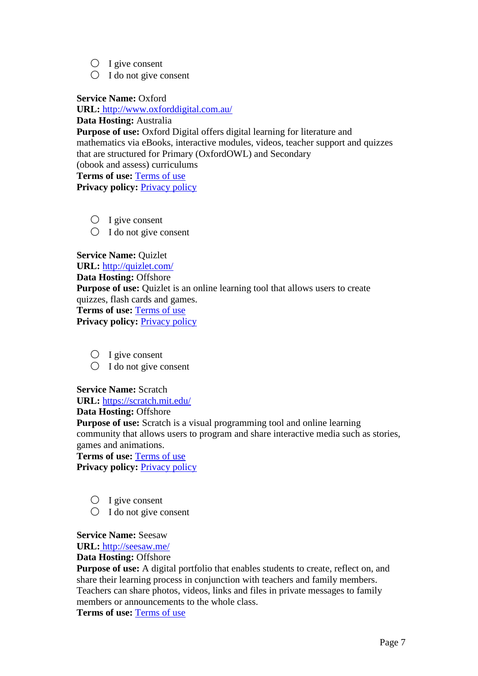- $\bigcirc$  I give consent
- $\bigcirc$  I do not give consent

**Service Name:** Oxford

**URL[:](http://www.oxforddigital.com.au/)** <http://www.oxforddigital.com.au/>

**Data Hosting:** Australia

**Purpose of use:** Oxford Digital offers digital learning for literature and mathematics via eBooks, interactive modules, videos, teacher support and quizzes that are structured for Primary (OxfordOWL) and Secondary (obook and assess) curriculums

**Terms of use:** [Terms of use](http://www.oxforddigital.com.au/terms.html) **[Privacy policy](https://global.oup.com/privacy?cc=au): Privacy policy** 

 $\bigcirc$  I give consent

 $\bigcirc$  I do not give consent

**Service Name: Ouizlet URL:** <http://quizlet.com/> **Data Hosting:** Offshore **Purpose of use:** Quizlet is an online learning tool that allows users to create quizzes, flash cards and games. **Terms of use:** [Terms of use](https://quizlet.com/en-gb/tos) **[Privacy policy](https://quizlet.com/privacy): Privacy policy** 

- $O$  I give consent
- $\bigcirc$  I do not give consent

**Service Name:** Scratch

**URL:** <https://scratch.mit.edu/>

**Data Hosting:** Offshore

**Purpose of use:** Scratch is a visual programming tool and online learning community that allows users to program and share interactive media such as stories, games and animations.

**Terms of use:** [Terms of use](https://scratch.mit.edu/terms_of_use) **[Privacy policy](https://scratch.mit.edu/privacy_policy): Privacy policy** 

- $O$  I give consent
- $\bigcirc$  I do not give consent

**Service Name:** Seesaw

**URL[:](http://seesaw.me/)** <http://seesaw.me/>

# **Data Hosting:** Offshore

**Purpose of use:** A digital portfolio that enables students to create, reflect on, and share their learning process in conjunction with teachers and family members. Teachers can share photos, videos, links and files in private messages to family members or announcements to the whole class.

**Terms of use:** [Terms of use](https://web.seesaw.me/terms-of-service)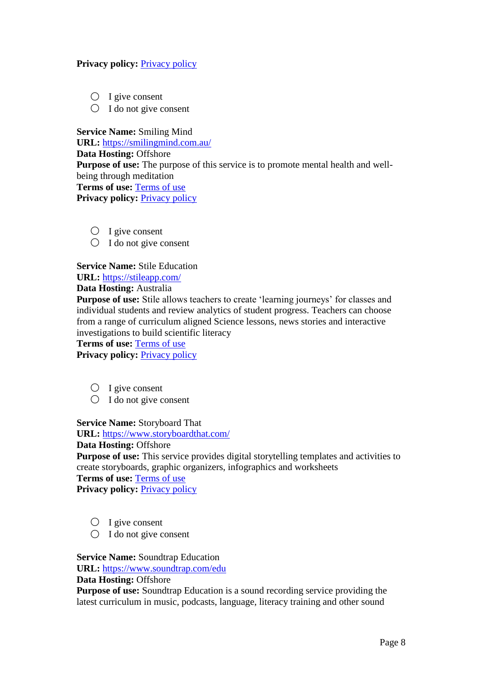## **[Privacy policy](https://web.seesaw.me/privacy): Privacy policy**

- $O$  I give consent
- $\bigcirc$  I do not give consent

**Service Name:** Smiling Mind **URL:** <https://smilingmind.com.au/> **Data Hosting:** Offshore **Purpose of use:** The purpose of this service is to promote mental health and wellbeing through meditation **Terms of use:** [Terms of use](https://smilingmind.com.au/collection-notice-and-terms-and-conditions/) **[Privacy policy](https://smilingmind.com.au/privacy-policy/): Privacy policy** 

- $\bigcirc$  I give consent
- $\bigcirc$  I do not give consent

**Service Name: Stile Education** 

**URL:** <https://stileapp.com/>

**Data Hosting:** Australia

**Purpose of use:** Stile allows teachers to create 'learning journeys' for classes and individual students and review analytics of student progress. Teachers can choose from a range of curriculum aligned Science lessons, news stories and interactive investigations to build scientific literacy

**Terms of use:** [Terms of use](https://stileeducation.com/terms)

[Privacy policy](https://stileeducation.com/privacy): **Privacy policy** 

- $\bigcirc$  I give consent
- $\bigcirc$  I do not give consent

**Service Name:** Storyboard That

**URL:** <https://www.storyboardthat.com/>

# **Data Hosting:** Offshore

**Purpose of use:** This service provides digital storytelling templates and activities to create storyboards, graphic organizers, infographics and worksheets

**Terms of use:** [Terms of use](https://www.storyboardthat.com/about/terms-of-use)

**Privacy policy:** [Privacy policy](https://www.storyboardthat.com/about/privacy-for-schools)

- $\bigcirc$  I give consent
- $\bigcirc$  I do not give consent

## **Service Name: Soundtrap Education**

**URL:** <https://www.soundtrap.com/edu>

### **Data Hosting:** Offshore

**Purpose of use:** Soundtrap Education is a sound recording service providing the latest curriculum in music, podcasts, language, literacy training and other sound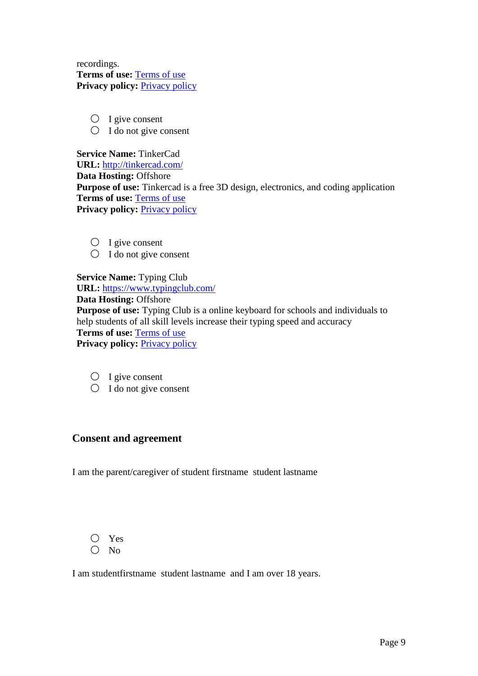recordings. **Terms of use:** [Terms of use](https://www.soundtrap.com/legal/terms/world) **[Privacy policy](https://www.soundtrap.com/legal/privacy/edu): Privacy policy** 

 $O$  I give consent

 $\bigcirc$  I do not give consent

**Service Name:** TinkerCad **URL:** <http://tinkercad.com/> **Data Hosting:** Offshore **Purpose of use:** Tinkercad is a free 3D design, electronics, and coding application **Terms of use:** [Terms of use](https://www.autodesk.com/company/legal-notices-trademarks/terms-of-service-autodesk360-web-services/terms-of-service-for-tinkercad) **[Privacy policy](https://prismic-io.s3.amazonaws.com/tkv3/b8d327a5-6b2a-481e-92aa-2d5b75a9d139_2020.03.18+-+Tinkercad+DPA+%28non-US%29.pdf): Privacy policy** 

- $O$  I give consent
- $\bigcirc$  I do not give consent

**Service Name:** Typing Club **URL:** <https://www.typingclub.com/> **Data Hosting:** Offshore **Purpose of use:** Typing Club is a online keyboard for schools and individuals to help students of all skill levels increase their typing speed and accuracy **Terms of use:** [Terms of use](https://www.typingclub.com/terms.html) **[Privacy policy](https://www.typingclub.com/privacy.html): Privacy policy** 

- $O$  I give consent
- $\bigcirc$  I do not give consent

# **Consent and agreement**

I am the parent/caregiver of student firstname student lastname

$$
\bigcirc \, \operatorname{Yes} \, \overline{\,} \, \overline{\,} \, \overline{\,} \, \overline{\,} \, \overline{\,} \, \overline{\,} \, \overline{\,} \, \overline{\,} \, \overline{\,} \, \overline{\,} \, \overline{\,} \, \overline{\,} \, \overline{\,} \, \overline{\,} \, \overline{\,} \, \overline{\,} \, \overline{\,} \, \overline{\,} \, \overline{\,} \, \overline{\,} \, \overline{\,} \, \overline{\,} \, \overline{\,} \, \overline{\,} \, \overline{\,} \, \overline{\,} \, \overline{\,} \, \overline{\,} \, \overline{\,} \, \overline{\,} \, \overline{\,} \, \overline{\,} \, \overline{\,} \, \overline{\,} \, \overline{\,} \, \overline{\,} \, \overline{\,} \, \overline{\,} \, \overline{\,} \, \overline{\,} \, \overline{\,} \, \overline{\,} \, \overline{\,} \, \overline{\,} \, \overline{\,} \, \overline{\,} \, \overline{\,} \, \overline{\,} \, \overline{\,} \, \overline{\,} \, \overline{\,} \, \overline{\,} \, \overline{\,} \, \overline{\,} \, \overline{\,} \, \overline{\,} \, \overline{\,} \, \overline{\,} \, \overline{\,} \, \overline{\,} \, \overline{\,} \, \overline{\,} \, \overline{\,} \, \overline{\,} \, \overline{\,} \, \overline{\,} \, \overline{\,} \, \overline{\,} \, \overline{\,} \, \overline{\,} \, \overline{\,} \, \overline{\,} \, \overline{\,} \, \overline{\,} \, \overline{\,} \, \overline{\,} \, \overline{\,} \, \overline{\,} \, \overline{\,} \, \overline{\,} \, \overline{\,} \, \overline{\,} \, \overline{\,} \, \overline{\,} \, \overline{\,} \, \overline{\,} \, \overline{\,} \, \overline{\,} \, \overline{\,} \, \overline{\,} \, \overline{\,} \, \overline{\,} \, \overline{\,} \, \overline
$$

 $\bigcirc$  No

I am studentfirstname student lastname and I am over 18 years.